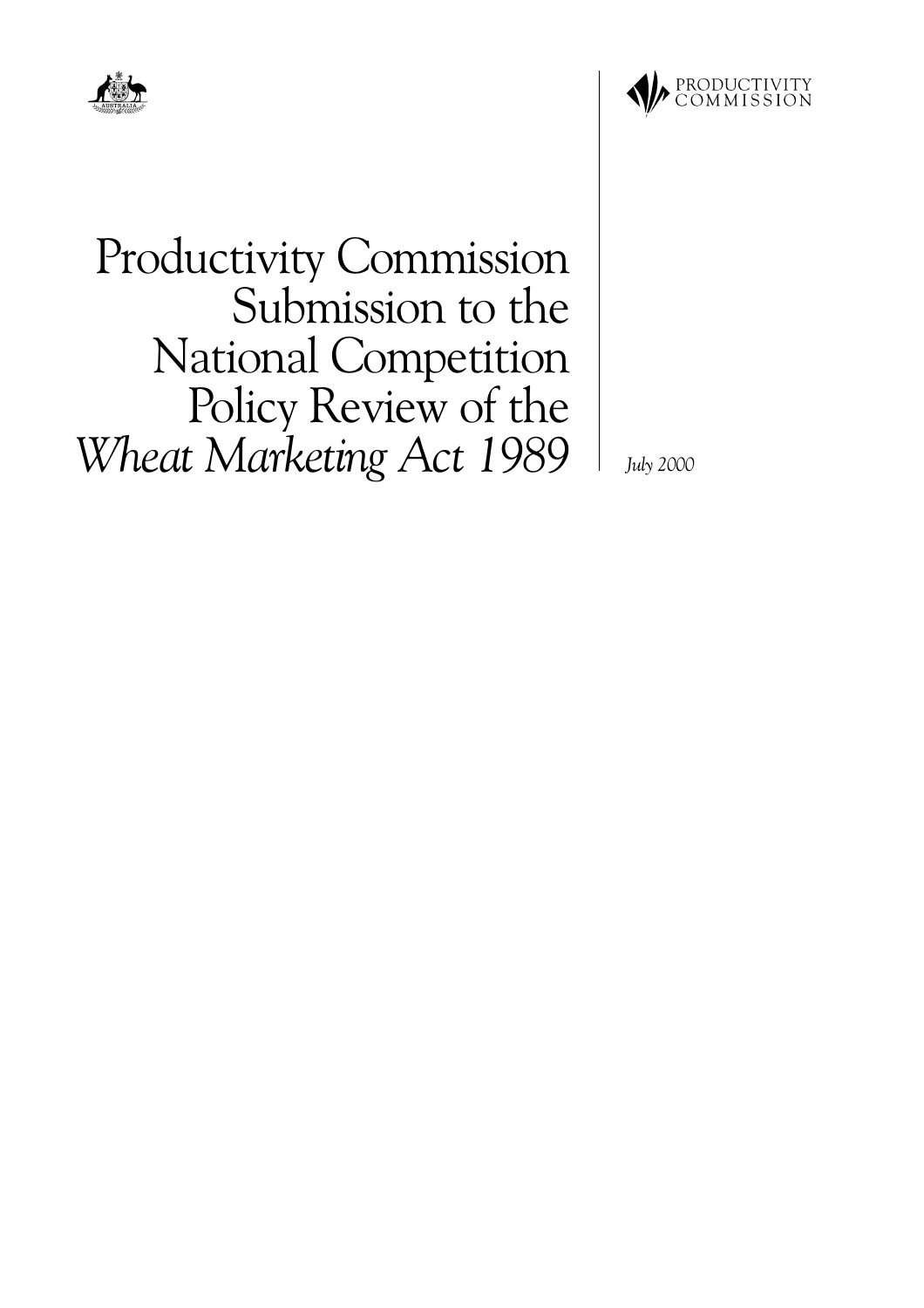



**Productivity Commission** Submission to the **National Competition** Policy Review of the Wheat Marketing Act 1989

**July 2000**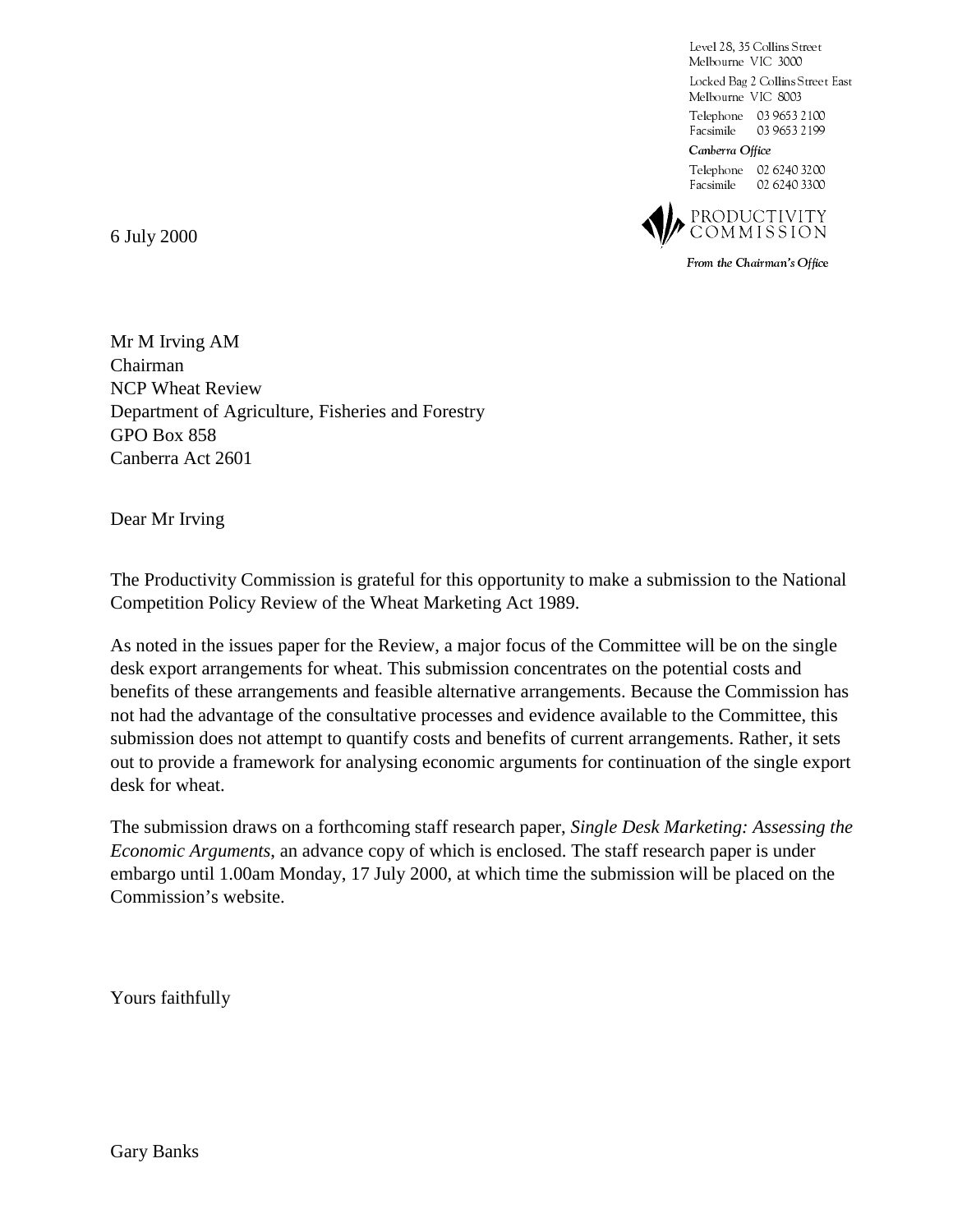Level 28, 35 Collins Street Melbourne VIC 3000 Locked Bag 2 Collins Street East Melbourne VIC 8003 Telephone 03 9653 2100 Facsimile 03 9653 2 199 Canberra Office Telephone 02 6240 3200



From the Chairman's Office

Facsimile 02 6240 3300

6 July 2000

Mr M Irving AM Chairman NCP Wheat Review Department of Agriculture, Fisheries and Forestry GPO Box 858 Canberra Act 2601

Dear Mr Irving

The Productivity Commission is grateful for this opportunity to make a submission to the National Competition Policy Review of the Wheat Marketing Act 1989.

As noted in the issues paper for the Review, a major focus of the Committee will be on the single desk export arrangements for wheat. This submission concentrates on the potential costs and benefits of these arrangements and feasible alternative arrangements. Because the Commission has not had the advantage of the consultative processes and evidence available to the Committee, this submission does not attempt to quantify costs and benefits of current arrangements. Rather, it sets out to provide a framework for analysing economic arguments for continuation of the single export desk for wheat.

The submission draws on a forthcoming staff research paper, *Single Desk Marketing: Assessing the Economic Arguments*, an advance copy of which is enclosed. The staff research paper is under embargo until 1.00am Monday, 17 July 2000, at which time the submission will be placed on the Commission's website.

Yours faithfully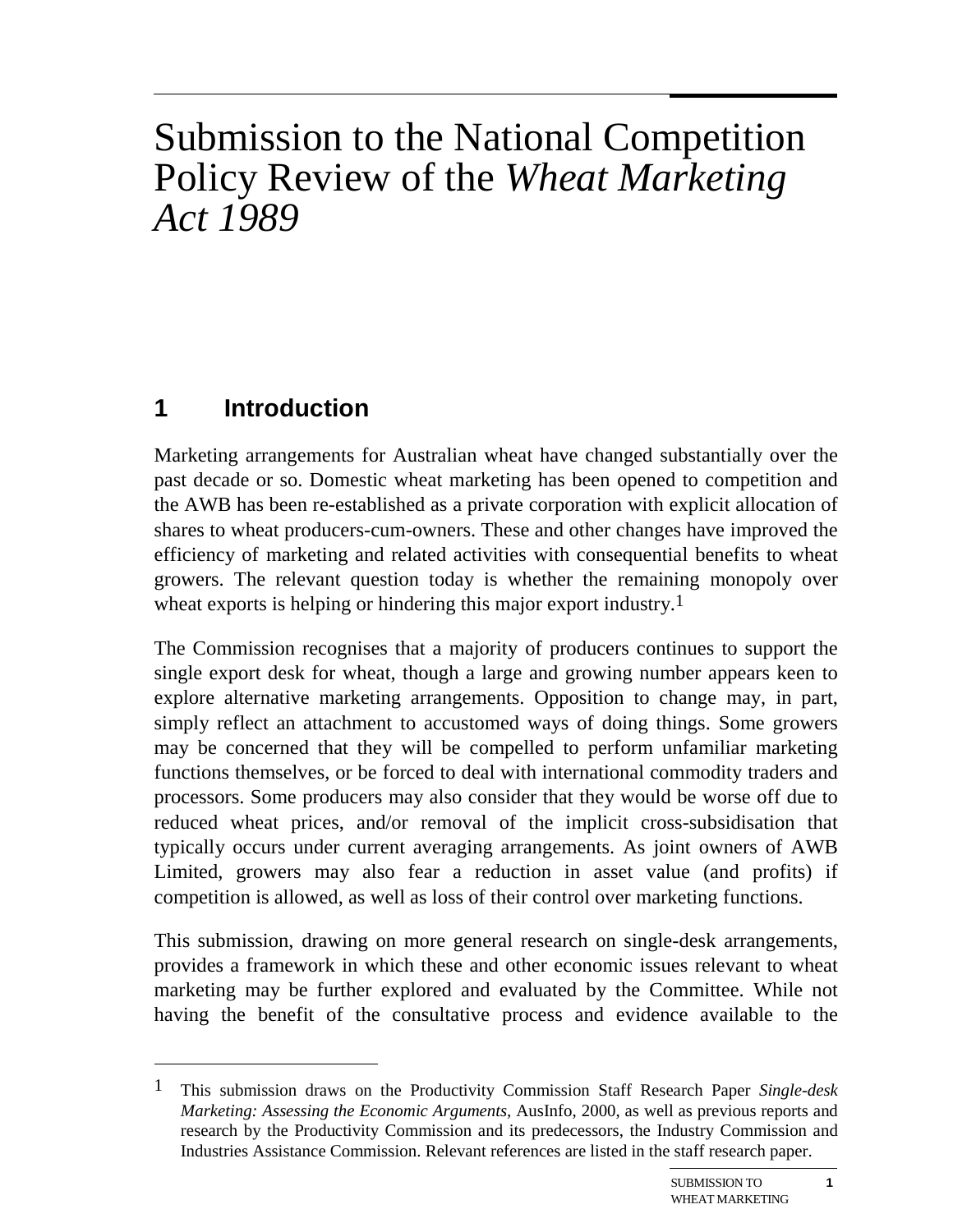# Submission to the National Competition Policy Review of the *Wheat Marketing Act 1989*

# **1 Introduction**

 $\overline{a}$ 

Marketing arrangements for Australian wheat have changed substantially over the past decade or so. Domestic wheat marketing has been opened to competition and the AWB has been re-established as a private corporation with explicit allocation of shares to wheat producers-cum-owners. These and other changes have improved the efficiency of marketing and related activities with consequential benefits to wheat growers. The relevant question today is whether the remaining monopoly over wheat exports is helping or hindering this major export industry.<sup>1</sup>

The Commission recognises that a majority of producers continues to support the single export desk for wheat, though a large and growing number appears keen to explore alternative marketing arrangements. Opposition to change may, in part, simply reflect an attachment to accustomed ways of doing things. Some growers may be concerned that they will be compelled to perform unfamiliar marketing functions themselves, or be forced to deal with international commodity traders and processors. Some producers may also consider that they would be worse off due to reduced wheat prices, and/or removal of the implicit cross-subsidisation that typically occurs under current averaging arrangements. As joint owners of AWB Limited, growers may also fear a reduction in asset value (and profits) if competition is allowed, as well as loss of their control over marketing functions.

This submission, drawing on more general research on single-desk arrangements, provides a framework in which these and other economic issues relevant to wheat marketing may be further explored and evaluated by the Committee. While not having the benefit of the consultative process and evidence available to the

<sup>1</sup> This submission draws on the Productivity Commission Staff Research Paper *Single-desk Marketing: Assessing the Economic Arguments,* AusInfo, 2000, as well as previous reports and research by the Productivity Commission and its predecessors, the Industry Commission and Industries Assistance Commission. Relevant references are listed in the staff research paper.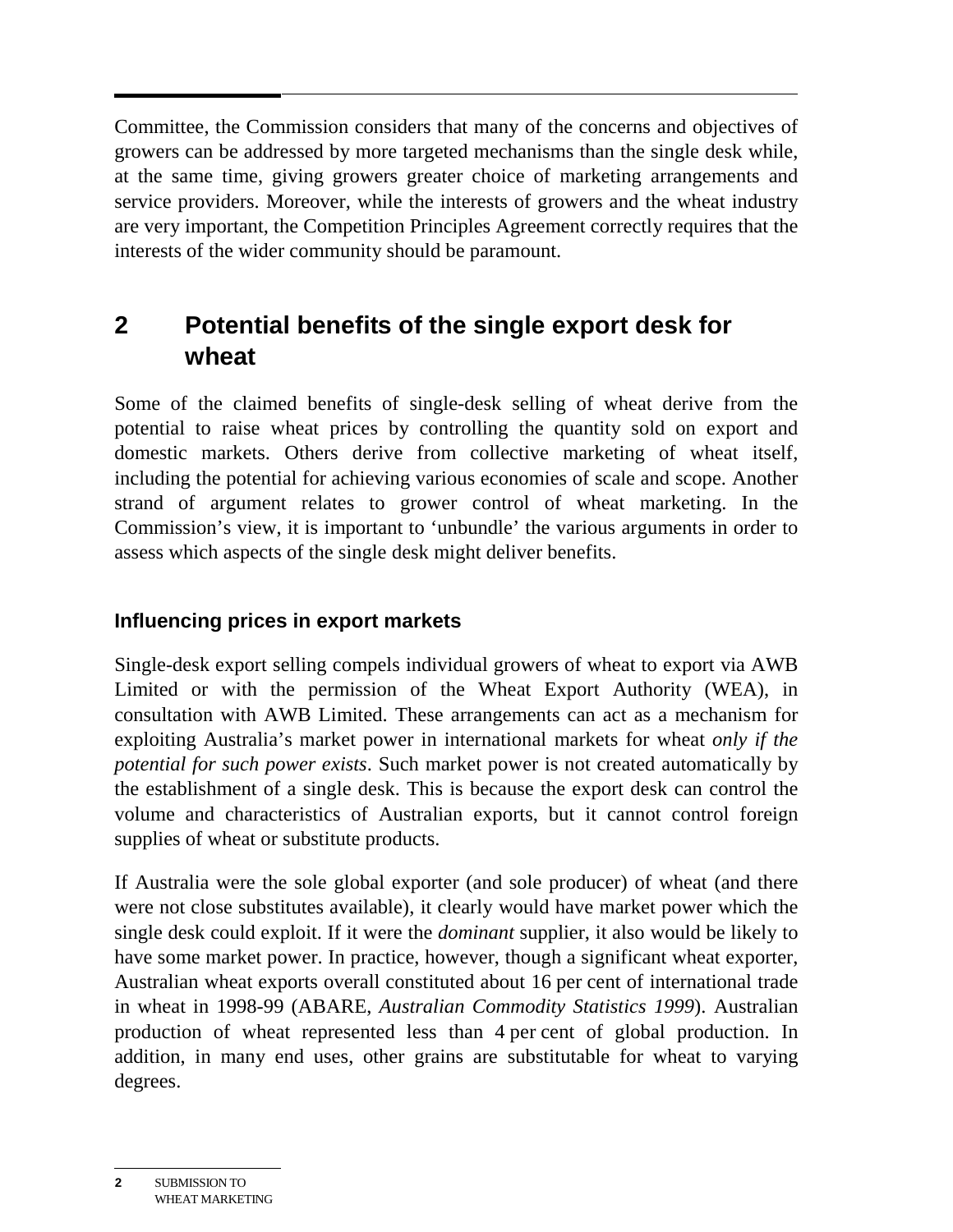Committee, the Commission considers that many of the concerns and objectives of growers can be addressed by more targeted mechanisms than the single desk while, at the same time, giving growers greater choice of marketing arrangements and service providers. Moreover, while the interests of growers and the wheat industry are very important, the Competition Principles Agreement correctly requires that the interests of the wider community should be paramount.

# **2 Potential benefits of the single export desk for wheat**

Some of the claimed benefits of single-desk selling of wheat derive from the potential to raise wheat prices by controlling the quantity sold on export and domestic markets. Others derive from collective marketing of wheat itself, including the potential for achieving various economies of scale and scope. Another strand of argument relates to grower control of wheat marketing. In the Commission's view, it is important to 'unbundle' the various arguments in order to assess which aspects of the single desk might deliver benefits.

## **Influencing prices in export markets**

Single-desk export selling compels individual growers of wheat to export via AWB Limited or with the permission of the Wheat Export Authority (WEA), in consultation with AWB Limited. These arrangements can act as a mechanism for exploiting Australia's market power in international markets for wheat *only if the potential for such power exists*. Such market power is not created automatically by the establishment of a single desk. This is because the export desk can control the volume and characteristics of Australian exports, but it cannot control foreign supplies of wheat or substitute products.

If Australia were the sole global exporter (and sole producer) of wheat (and there were not close substitutes available), it clearly would have market power which the single desk could exploit. If it were the *dominant* supplier, it also would be likely to have some market power. In practice, however, though a significant wheat exporter, Australian wheat exports overall constituted about 16 per cent of international trade in wheat in 1998-99 (ABARE, *Australian Commodity Statistics 1999*). Australian production of wheat represented less than 4 per cent of global production. In addition, in many end uses, other grains are substitutable for wheat to varying degrees.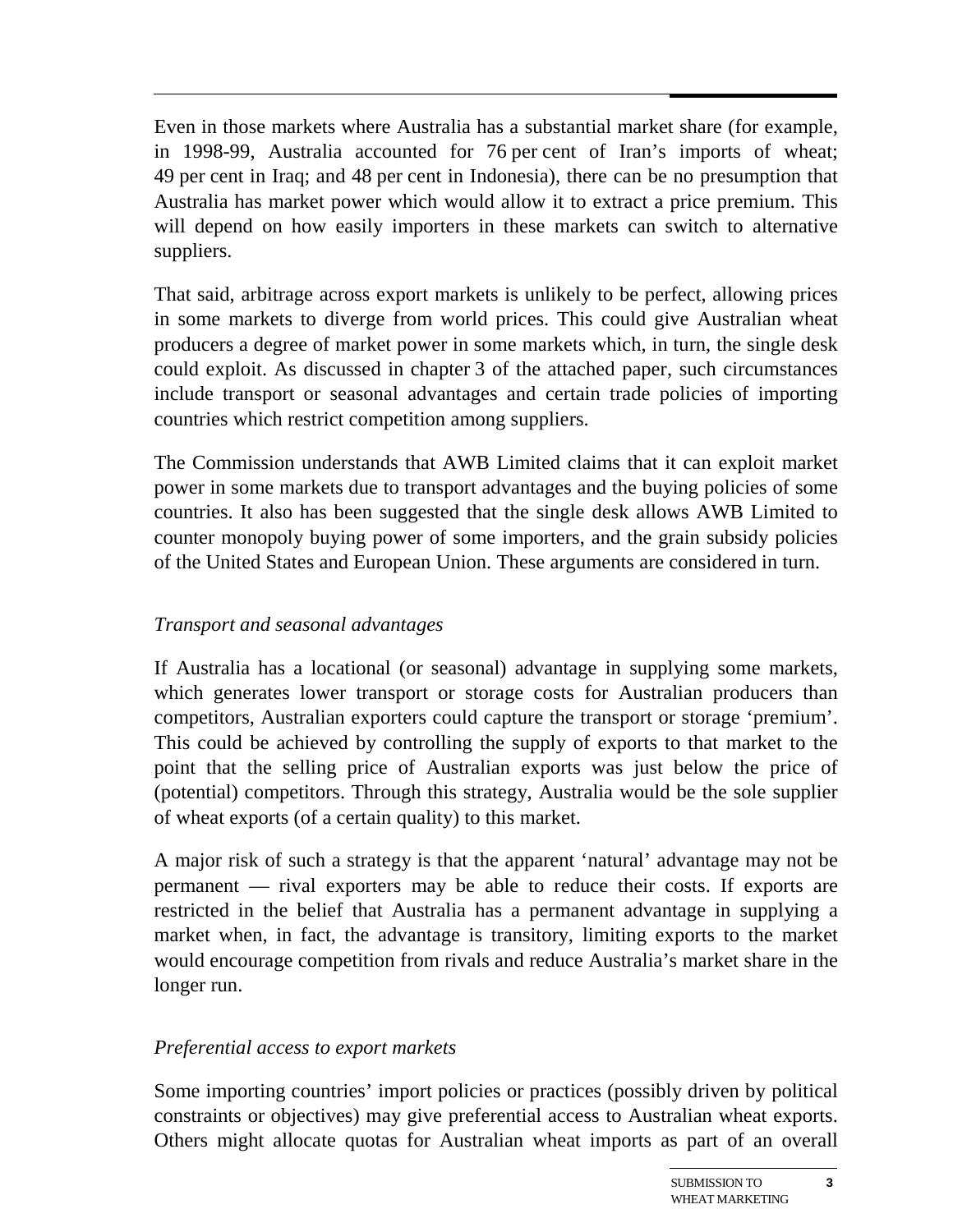Even in those markets where Australia has a substantial market share (for example, in 1998-99, Australia accounted for 76 per cent of Iran's imports of wheat; 49 per cent in Iraq; and 48 per cent in Indonesia), there can be no presumption that Australia has market power which would allow it to extract a price premium. This will depend on how easily importers in these markets can switch to alternative suppliers.

That said, arbitrage across export markets is unlikely to be perfect, allowing prices in some markets to diverge from world prices. This could give Australian wheat producers a degree of market power in some markets which, in turn, the single desk could exploit. As discussed in chapter 3 of the attached paper, such circumstances include transport or seasonal advantages and certain trade policies of importing countries which restrict competition among suppliers.

The Commission understands that AWB Limited claims that it can exploit market power in some markets due to transport advantages and the buying policies of some countries. It also has been suggested that the single desk allows AWB Limited to counter monopoly buying power of some importers, and the grain subsidy policies of the United States and European Union. These arguments are considered in turn.

#### *Transport and seasonal advantages*

If Australia has a locational (or seasonal) advantage in supplying some markets, which generates lower transport or storage costs for Australian producers than competitors, Australian exporters could capture the transport or storage 'premium'. This could be achieved by controlling the supply of exports to that market to the point that the selling price of Australian exports was just below the price of (potential) competitors. Through this strategy, Australia would be the sole supplier of wheat exports (of a certain quality) to this market.

A major risk of such a strategy is that the apparent 'natural' advantage may not be permanent — rival exporters may be able to reduce their costs. If exports are restricted in the belief that Australia has a permanent advantage in supplying a market when, in fact, the advantage is transitory, limiting exports to the market would encourage competition from rivals and reduce Australia's market share in the longer run.

#### *Preferential access to export markets*

Some importing countries' import policies or practices (possibly driven by political constraints or objectives) may give preferential access to Australian wheat exports. Others might allocate quotas for Australian wheat imports as part of an overall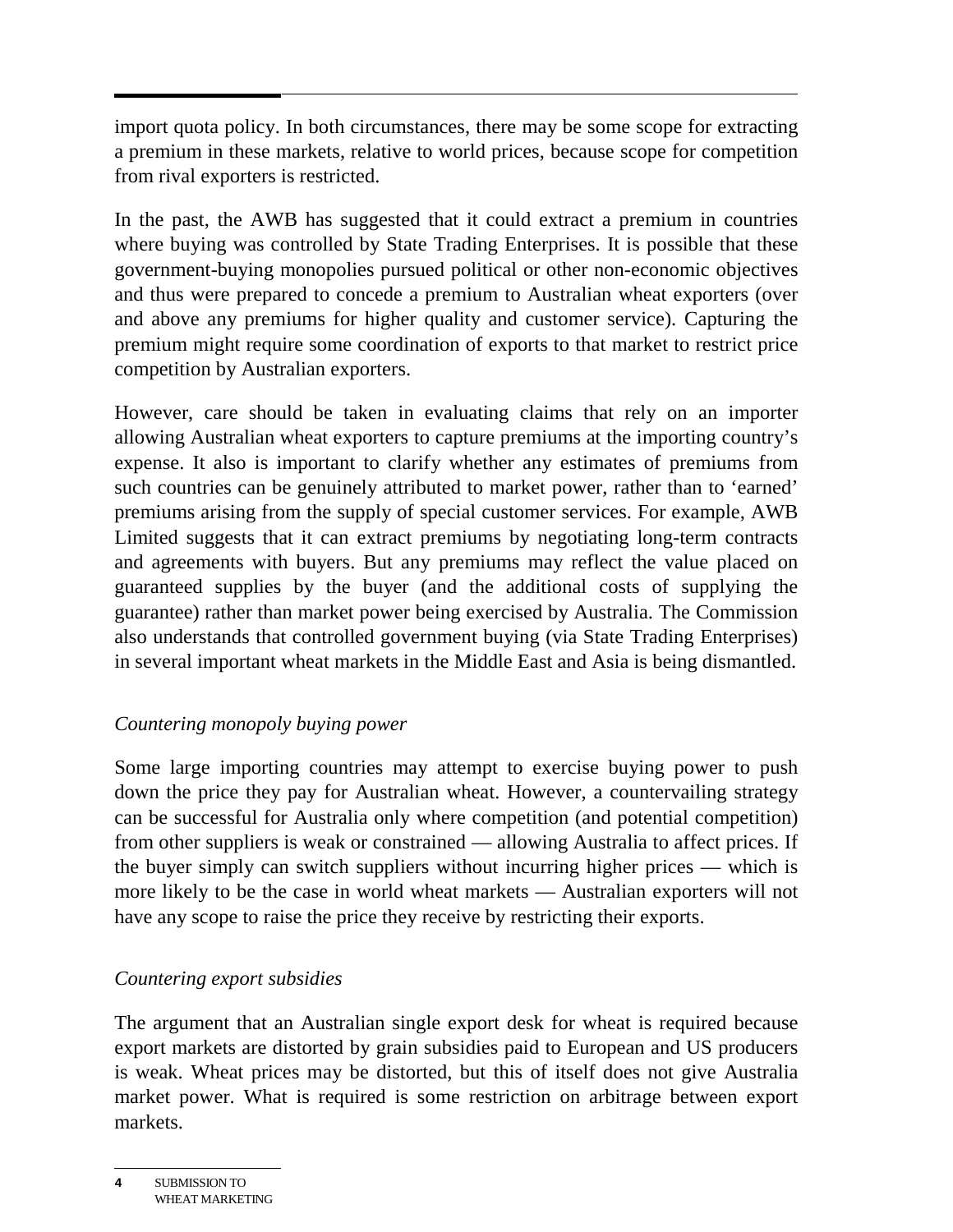import quota policy. In both circumstances, there may be some scope for extracting a premium in these markets, relative to world prices, because scope for competition from rival exporters is restricted.

In the past, the AWB has suggested that it could extract a premium in countries where buying was controlled by State Trading Enterprises. It is possible that these government-buying monopolies pursued political or other non-economic objectives and thus were prepared to concede a premium to Australian wheat exporters (over and above any premiums for higher quality and customer service). Capturing the premium might require some coordination of exports to that market to restrict price competition by Australian exporters.

However, care should be taken in evaluating claims that rely on an importer allowing Australian wheat exporters to capture premiums at the importing country's expense. It also is important to clarify whether any estimates of premiums from such countries can be genuinely attributed to market power, rather than to 'earned' premiums arising from the supply of special customer services. For example, AWB Limited suggests that it can extract premiums by negotiating long-term contracts and agreements with buyers. But any premiums may reflect the value placed on guaranteed supplies by the buyer (and the additional costs of supplying the guarantee) rather than market power being exercised by Australia. The Commission also understands that controlled government buying (via State Trading Enterprises) in several important wheat markets in the Middle East and Asia is being dismantled.

#### *Countering monopoly buying power*

Some large importing countries may attempt to exercise buying power to push down the price they pay for Australian wheat. However, a countervailing strategy can be successful for Australia only where competition (and potential competition) from other suppliers is weak or constrained — allowing Australia to affect prices. If the buyer simply can switch suppliers without incurring higher prices — which is more likely to be the case in world wheat markets — Australian exporters will not have any scope to raise the price they receive by restricting their exports.

### *Countering export subsidies*

The argument that an Australian single export desk for wheat is required because export markets are distorted by grain subsidies paid to European and US producers is weak. Wheat prices may be distorted, but this of itself does not give Australia market power. What is required is some restriction on arbitrage between export markets.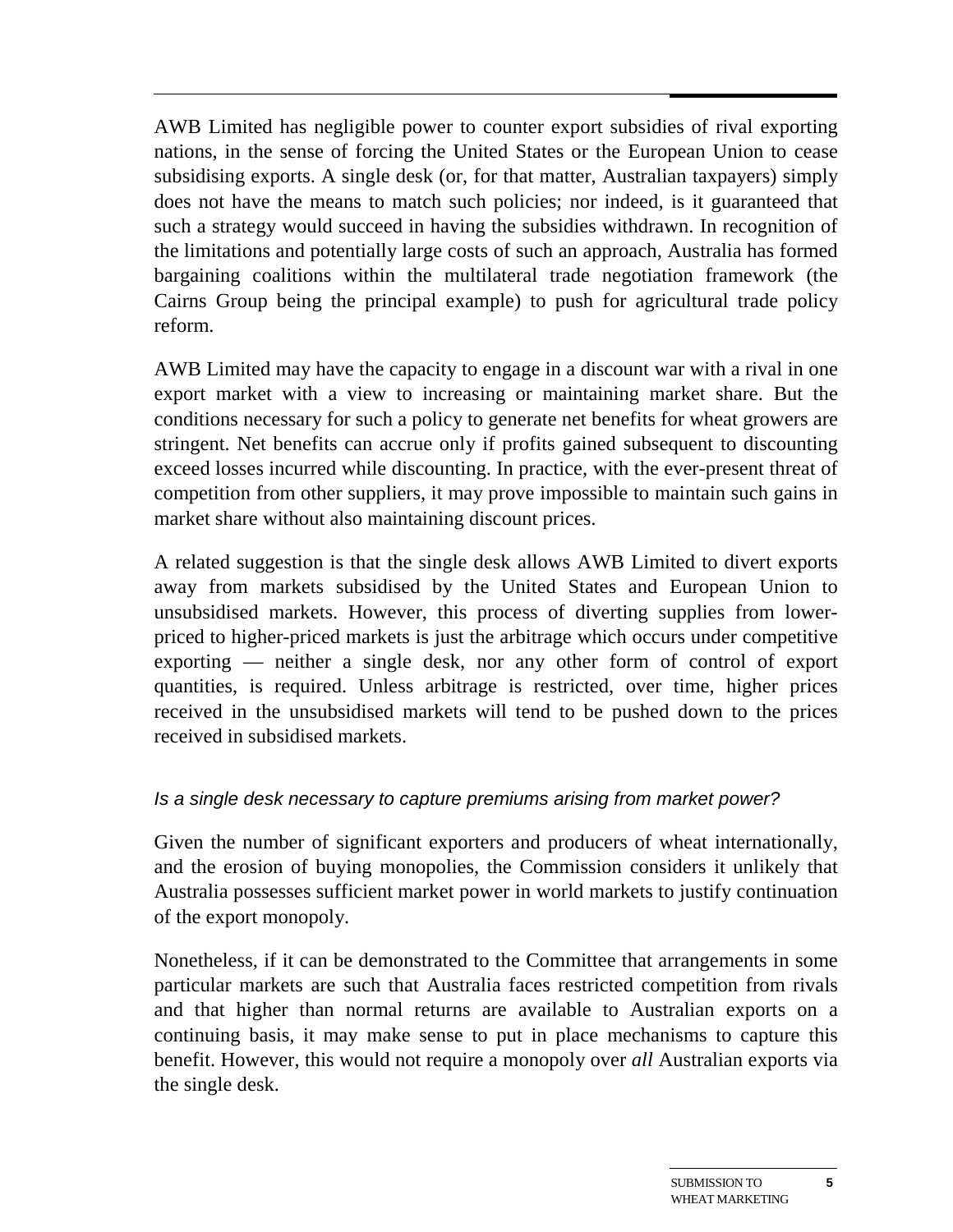AWB Limited has negligible power to counter export subsidies of rival exporting nations, in the sense of forcing the United States or the European Union to cease subsidising exports. A single desk (or, for that matter, Australian taxpayers) simply does not have the means to match such policies; nor indeed, is it guaranteed that such a strategy would succeed in having the subsidies withdrawn. In recognition of the limitations and potentially large costs of such an approach, Australia has formed bargaining coalitions within the multilateral trade negotiation framework (the Cairns Group being the principal example) to push for agricultural trade policy reform.

AWB Limited may have the capacity to engage in a discount war with a rival in one export market with a view to increasing or maintaining market share. But the conditions necessary for such a policy to generate net benefits for wheat growers are stringent. Net benefits can accrue only if profits gained subsequent to discounting exceed losses incurred while discounting. In practice, with the ever-present threat of competition from other suppliers, it may prove impossible to maintain such gains in market share without also maintaining discount prices.

A related suggestion is that the single desk allows AWB Limited to divert exports away from markets subsidised by the United States and European Union to unsubsidised markets. However, this process of diverting supplies from lowerpriced to higher-priced markets is just the arbitrage which occurs under competitive exporting — neither a single desk, nor any other form of control of export quantities, is required. Unless arbitrage is restricted, over time, higher prices received in the unsubsidised markets will tend to be pushed down to the prices received in subsidised markets.

#### Is a single desk necessary to capture premiums arising from market power?

Given the number of significant exporters and producers of wheat internationally, and the erosion of buying monopolies, the Commission considers it unlikely that Australia possesses sufficient market power in world markets to justify continuation of the export monopoly.

Nonetheless, if it can be demonstrated to the Committee that arrangements in some particular markets are such that Australia faces restricted competition from rivals and that higher than normal returns are available to Australian exports on a continuing basis, it may make sense to put in place mechanisms to capture this benefit. However, this would not require a monopoly over *all* Australian exports via the single desk.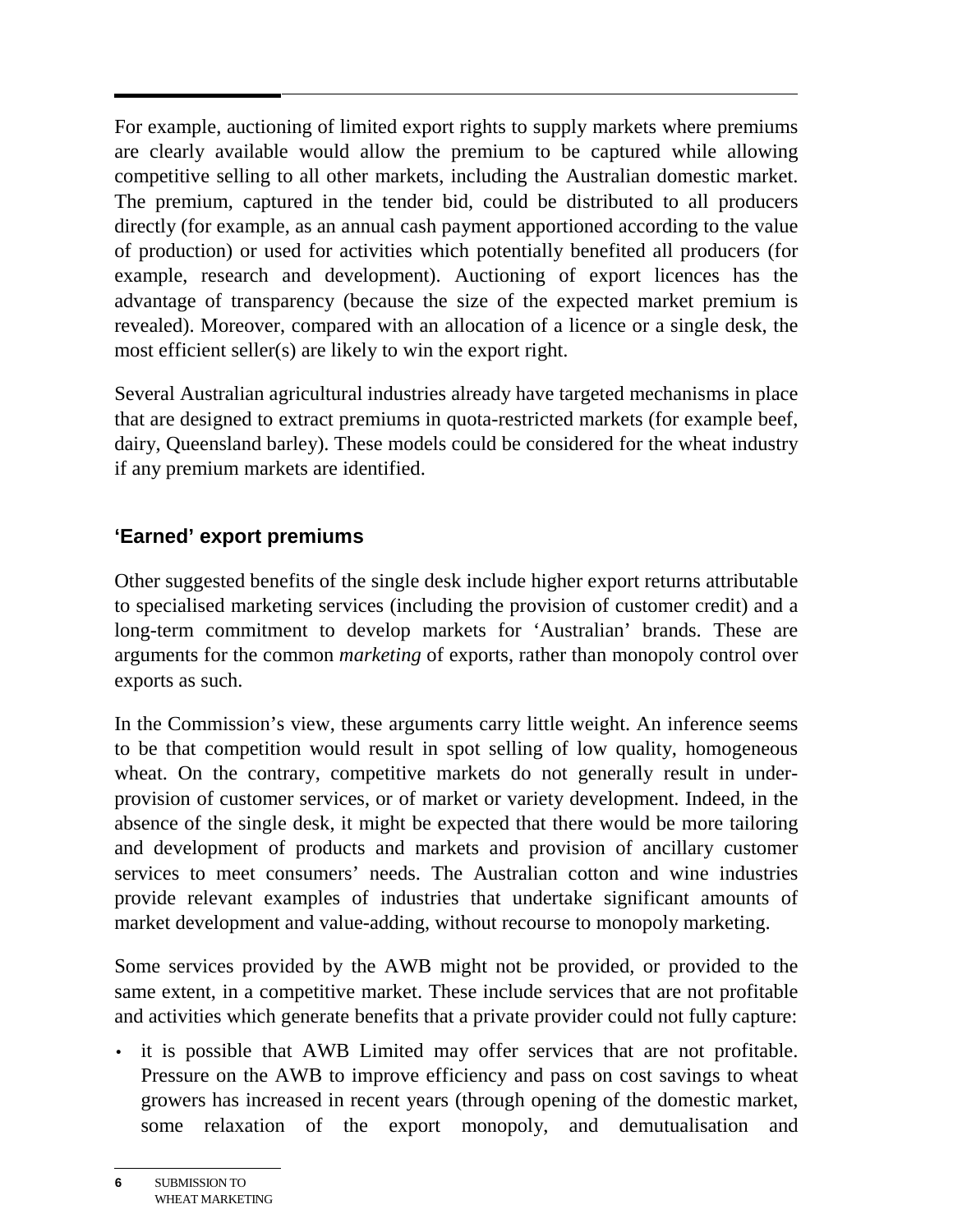For example, auctioning of limited export rights to supply markets where premiums are clearly available would allow the premium to be captured while allowing competitive selling to all other markets, including the Australian domestic market. The premium, captured in the tender bid, could be distributed to all producers directly (for example, as an annual cash payment apportioned according to the value of production) or used for activities which potentially benefited all producers (for example, research and development). Auctioning of export licences has the advantage of transparency (because the size of the expected market premium is revealed). Moreover, compared with an allocation of a licence or a single desk, the most efficient seller(s) are likely to win the export right.

Several Australian agricultural industries already have targeted mechanisms in place that are designed to extract premiums in quota-restricted markets (for example beef, dairy, Queensland barley). These models could be considered for the wheat industry if any premium markets are identified.

### **'Earned' export premiums**

Other suggested benefits of the single desk include higher export returns attributable to specialised marketing services (including the provision of customer credit) and a long-term commitment to develop markets for 'Australian' brands. These are arguments for the common *marketing* of exports, rather than monopoly control over exports as such.

In the Commission's view, these arguments carry little weight. An inference seems to be that competition would result in spot selling of low quality, homogeneous wheat. On the contrary, competitive markets do not generally result in underprovision of customer services, or of market or variety development. Indeed, in the absence of the single desk, it might be expected that there would be more tailoring and development of products and markets and provision of ancillary customer services to meet consumers' needs. The Australian cotton and wine industries provide relevant examples of industries that undertake significant amounts of market development and value-adding, without recourse to monopoly marketing.

Some services provided by the AWB might not be provided, or provided to the same extent, in a competitive market. These include services that are not profitable and activities which generate benefits that a private provider could not fully capture:

• it is possible that AWB Limited may offer services that are not profitable. Pressure on the AWB to improve efficiency and pass on cost savings to wheat growers has increased in recent years (through opening of the domestic market, some relaxation of the export monopoly, and demutualisation and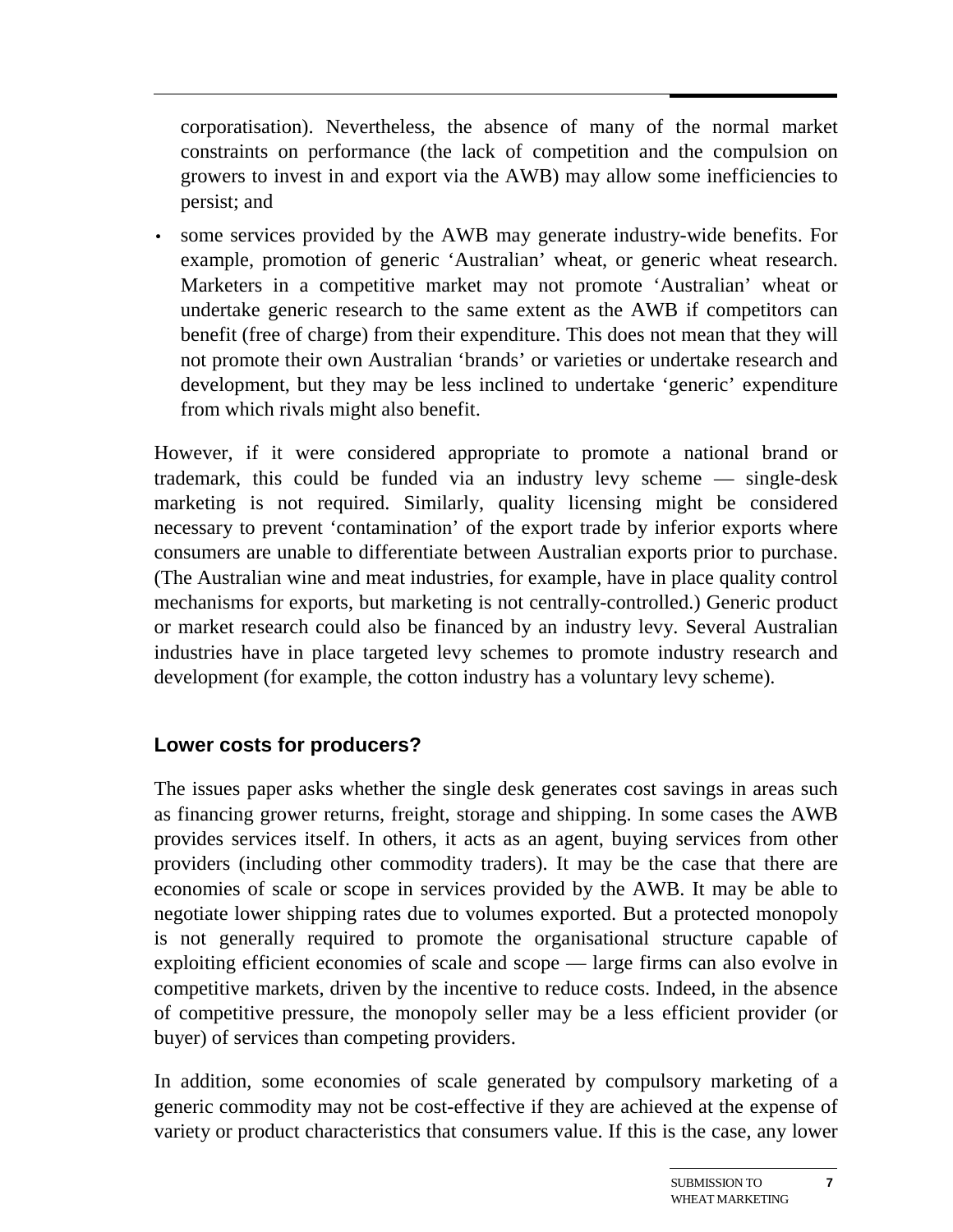corporatisation). Nevertheless, the absence of many of the normal market constraints on performance (the lack of competition and the compulsion on growers to invest in and export via the AWB) may allow some inefficiencies to persist; and

• some services provided by the AWB may generate industry-wide benefits. For example, promotion of generic 'Australian' wheat, or generic wheat research. Marketers in a competitive market may not promote 'Australian' wheat or undertake generic research to the same extent as the AWB if competitors can benefit (free of charge) from their expenditure. This does not mean that they will not promote their own Australian 'brands' or varieties or undertake research and development, but they may be less inclined to undertake 'generic' expenditure from which rivals might also benefit.

However, if it were considered appropriate to promote a national brand or trademark, this could be funded via an industry levy scheme — single-desk marketing is not required. Similarly, quality licensing might be considered necessary to prevent 'contamination' of the export trade by inferior exports where consumers are unable to differentiate between Australian exports prior to purchase. (The Australian wine and meat industries, for example, have in place quality control mechanisms for exports, but marketing is not centrally-controlled.) Generic product or market research could also be financed by an industry levy. Several Australian industries have in place targeted levy schemes to promote industry research and development (for example, the cotton industry has a voluntary levy scheme).

#### **Lower costs for producers?**

The issues paper asks whether the single desk generates cost savings in areas such as financing grower returns, freight, storage and shipping. In some cases the AWB provides services itself. In others, it acts as an agent, buying services from other providers (including other commodity traders). It may be the case that there are economies of scale or scope in services provided by the AWB. It may be able to negotiate lower shipping rates due to volumes exported. But a protected monopoly is not generally required to promote the organisational structure capable of exploiting efficient economies of scale and scope — large firms can also evolve in competitive markets, driven by the incentive to reduce costs. Indeed, in the absence of competitive pressure, the monopoly seller may be a less efficient provider (or buyer) of services than competing providers.

In addition, some economies of scale generated by compulsory marketing of a generic commodity may not be cost-effective if they are achieved at the expense of variety or product characteristics that consumers value. If this is the case, any lower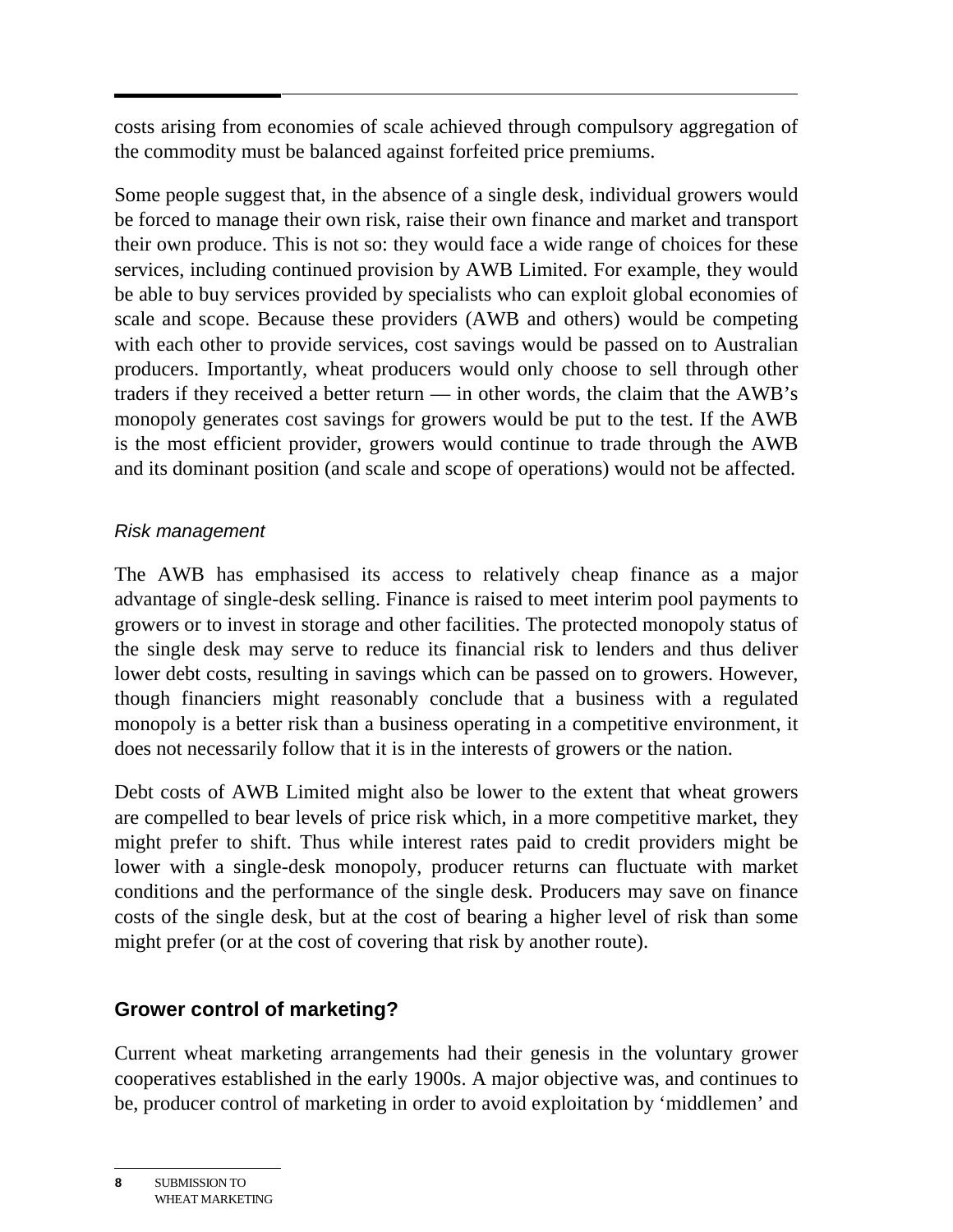costs arising from economies of scale achieved through compulsory aggregation of the commodity must be balanced against forfeited price premiums.

Some people suggest that, in the absence of a single desk, individual growers would be forced to manage their own risk, raise their own finance and market and transport their own produce. This is not so: they would face a wide range of choices for these services, including continued provision by AWB Limited. For example, they would be able to buy services provided by specialists who can exploit global economies of scale and scope. Because these providers (AWB and others) would be competing with each other to provide services, cost savings would be passed on to Australian producers. Importantly, wheat producers would only choose to sell through other traders if they received a better return — in other words, the claim that the AWB's monopoly generates cost savings for growers would be put to the test. If the AWB is the most efficient provider, growers would continue to trade through the AWB and its dominant position (and scale and scope of operations) would not be affected.

#### Risk management

The AWB has emphasised its access to relatively cheap finance as a major advantage of single-desk selling. Finance is raised to meet interim pool payments to growers or to invest in storage and other facilities. The protected monopoly status of the single desk may serve to reduce its financial risk to lenders and thus deliver lower debt costs, resulting in savings which can be passed on to growers. However, though financiers might reasonably conclude that a business with a regulated monopoly is a better risk than a business operating in a competitive environment, it does not necessarily follow that it is in the interests of growers or the nation.

Debt costs of AWB Limited might also be lower to the extent that wheat growers are compelled to bear levels of price risk which, in a more competitive market, they might prefer to shift. Thus while interest rates paid to credit providers might be lower with a single-desk monopoly, producer returns can fluctuate with market conditions and the performance of the single desk. Producers may save on finance costs of the single desk, but at the cost of bearing a higher level of risk than some might prefer (or at the cost of covering that risk by another route).

### **Grower control of marketing?**

Current wheat marketing arrangements had their genesis in the voluntary grower cooperatives established in the early 1900s. A major objective was, and continues to be, producer control of marketing in order to avoid exploitation by 'middlemen' and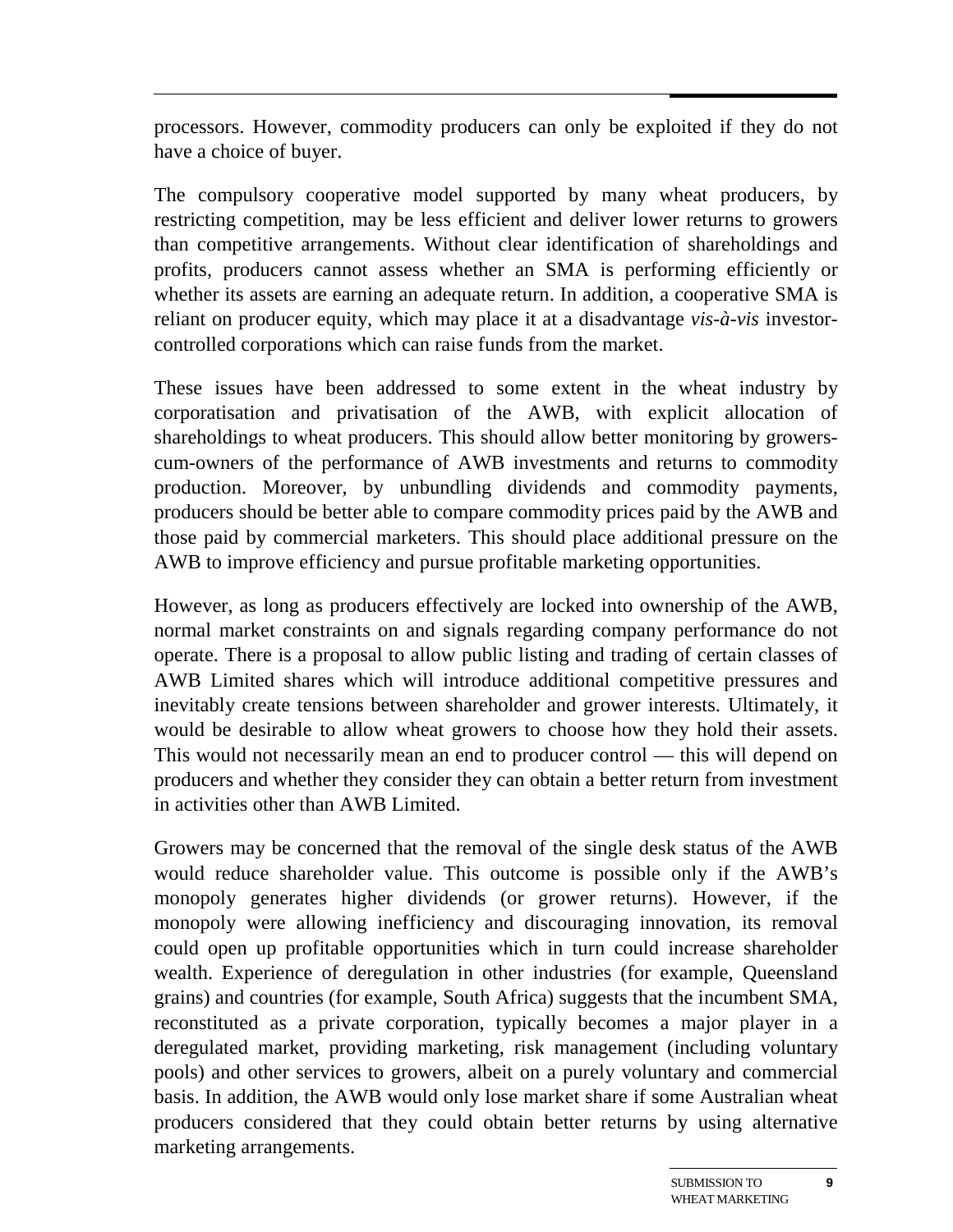processors. However, commodity producers can only be exploited if they do not have a choice of buyer.

The compulsory cooperative model supported by many wheat producers, by restricting competition, may be less efficient and deliver lower returns to growers than competitive arrangements. Without clear identification of shareholdings and profits, producers cannot assess whether an SMA is performing efficiently or whether its assets are earning an adequate return. In addition, a cooperative SMA is reliant on producer equity, which may place it at a disadvantage *vis-à-vis* investorcontrolled corporations which can raise funds from the market.

These issues have been addressed to some extent in the wheat industry by corporatisation and privatisation of the AWB, with explicit allocation of shareholdings to wheat producers. This should allow better monitoring by growerscum-owners of the performance of AWB investments and returns to commodity production. Moreover, by unbundling dividends and commodity payments, producers should be better able to compare commodity prices paid by the AWB and those paid by commercial marketers. This should place additional pressure on the AWB to improve efficiency and pursue profitable marketing opportunities.

However, as long as producers effectively are locked into ownership of the AWB, normal market constraints on and signals regarding company performance do not operate. There is a proposal to allow public listing and trading of certain classes of AWB Limited shares which will introduce additional competitive pressures and inevitably create tensions between shareholder and grower interests. Ultimately, it would be desirable to allow wheat growers to choose how they hold their assets. This would not necessarily mean an end to producer control — this will depend on producers and whether they consider they can obtain a better return from investment in activities other than AWB Limited.

Growers may be concerned that the removal of the single desk status of the AWB would reduce shareholder value. This outcome is possible only if the AWB's monopoly generates higher dividends (or grower returns). However, if the monopoly were allowing inefficiency and discouraging innovation, its removal could open up profitable opportunities which in turn could increase shareholder wealth. Experience of deregulation in other industries (for example, Queensland grains) and countries (for example, South Africa) suggests that the incumbent SMA, reconstituted as a private corporation, typically becomes a major player in a deregulated market, providing marketing, risk management (including voluntary pools) and other services to growers, albeit on a purely voluntary and commercial basis. In addition, the AWB would only lose market share if some Australian wheat producers considered that they could obtain better returns by using alternative marketing arrangements.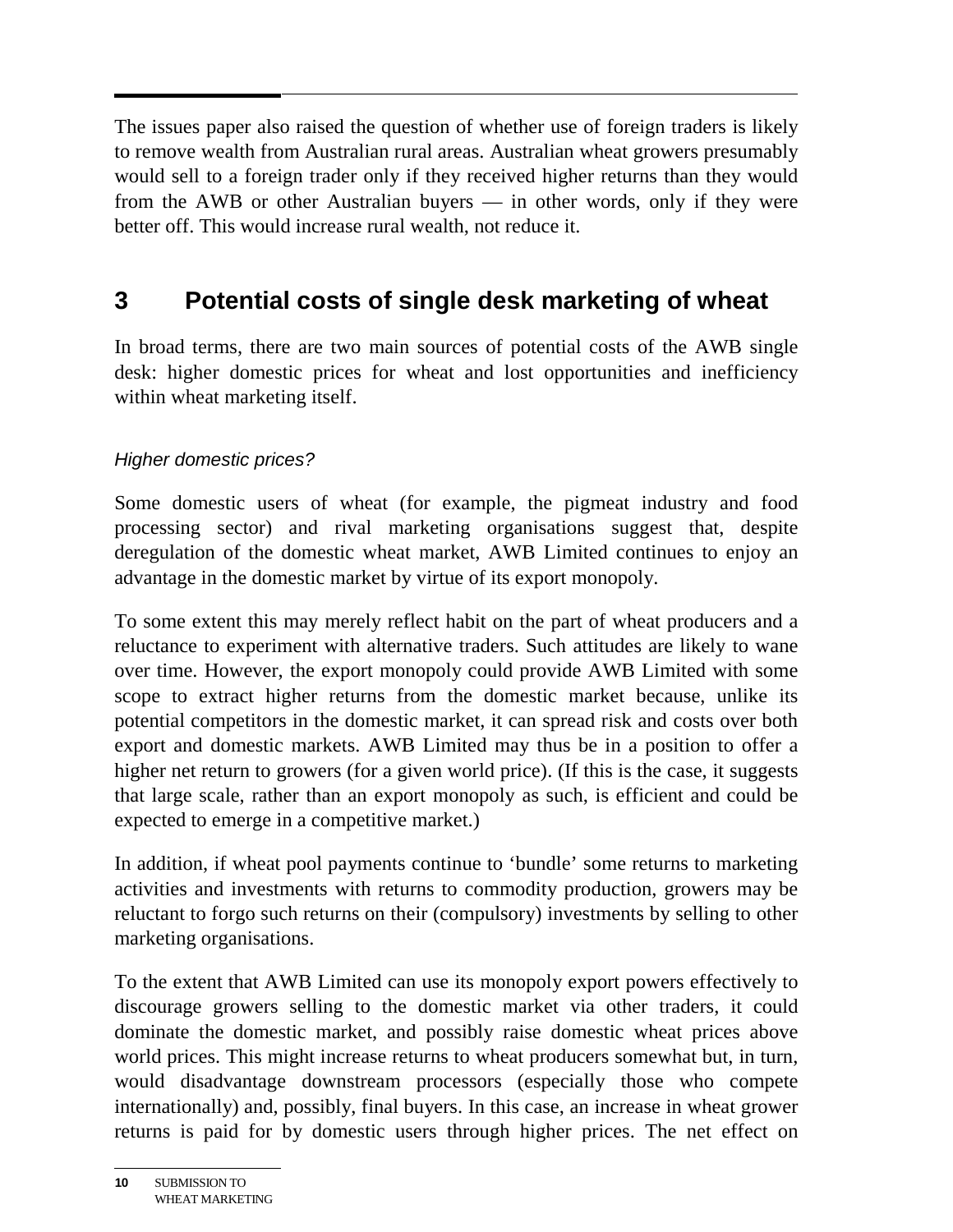The issues paper also raised the question of whether use of foreign traders is likely to remove wealth from Australian rural areas. Australian wheat growers presumably would sell to a foreign trader only if they received higher returns than they would from the AWB or other Australian buyers — in other words, only if they were better off. This would increase rural wealth, not reduce it.

# **3 Potential costs of single desk marketing of wheat**

In broad terms, there are two main sources of potential costs of the AWB single desk: higher domestic prices for wheat and lost opportunities and inefficiency within wheat marketing itself.

### Higher domestic prices?

Some domestic users of wheat (for example, the pigmeat industry and food processing sector) and rival marketing organisations suggest that, despite deregulation of the domestic wheat market, AWB Limited continues to enjoy an advantage in the domestic market by virtue of its export monopoly.

To some extent this may merely reflect habit on the part of wheat producers and a reluctance to experiment with alternative traders. Such attitudes are likely to wane over time. However, the export monopoly could provide AWB Limited with some scope to extract higher returns from the domestic market because, unlike its potential competitors in the domestic market, it can spread risk and costs over both export and domestic markets. AWB Limited may thus be in a position to offer a higher net return to growers (for a given world price). (If this is the case, it suggests that large scale, rather than an export monopoly as such, is efficient and could be expected to emerge in a competitive market.)

In addition, if wheat pool payments continue to 'bundle' some returns to marketing activities and investments with returns to commodity production, growers may be reluctant to forgo such returns on their (compulsory) investments by selling to other marketing organisations.

To the extent that AWB Limited can use its monopoly export powers effectively to discourage growers selling to the domestic market via other traders, it could dominate the domestic market, and possibly raise domestic wheat prices above world prices. This might increase returns to wheat producers somewhat but, in turn, would disadvantage downstream processors (especially those who compete internationally) and, possibly, final buyers. In this case, an increase in wheat grower returns is paid for by domestic users through higher prices. The net effect on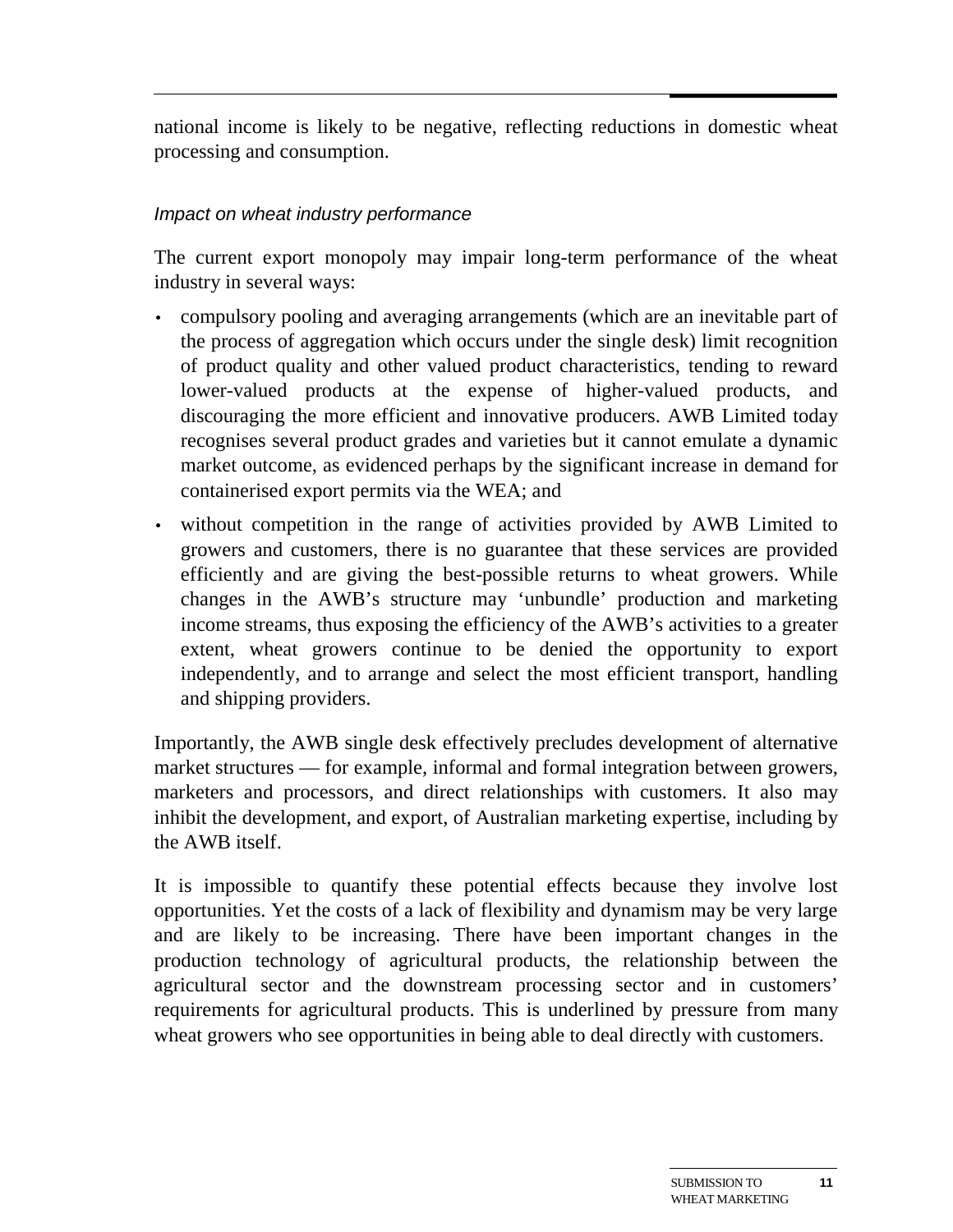national income is likely to be negative, reflecting reductions in domestic wheat processing and consumption.

#### Impact on wheat industry performance

The current export monopoly may impair long-term performance of the wheat industry in several ways:

- compulsory pooling and averaging arrangements (which are an inevitable part of the process of aggregation which occurs under the single desk) limit recognition of product quality and other valued product characteristics, tending to reward lower-valued products at the expense of higher-valued products, and discouraging the more efficient and innovative producers. AWB Limited today recognises several product grades and varieties but it cannot emulate a dynamic market outcome, as evidenced perhaps by the significant increase in demand for containerised export permits via the WEA; and
- without competition in the range of activities provided by AWB Limited to growers and customers, there is no guarantee that these services are provided efficiently and are giving the best-possible returns to wheat growers. While changes in the AWB's structure may 'unbundle' production and marketing income streams, thus exposing the efficiency of the AWB's activities to a greater extent, wheat growers continue to be denied the opportunity to export independently, and to arrange and select the most efficient transport, handling and shipping providers.

Importantly, the AWB single desk effectively precludes development of alternative market structures — for example, informal and formal integration between growers, marketers and processors, and direct relationships with customers. It also may inhibit the development, and export, of Australian marketing expertise, including by the AWB itself.

It is impossible to quantify these potential effects because they involve lost opportunities. Yet the costs of a lack of flexibility and dynamism may be very large and are likely to be increasing. There have been important changes in the production technology of agricultural products, the relationship between the agricultural sector and the downstream processing sector and in customers' requirements for agricultural products. This is underlined by pressure from many wheat growers who see opportunities in being able to deal directly with customers.